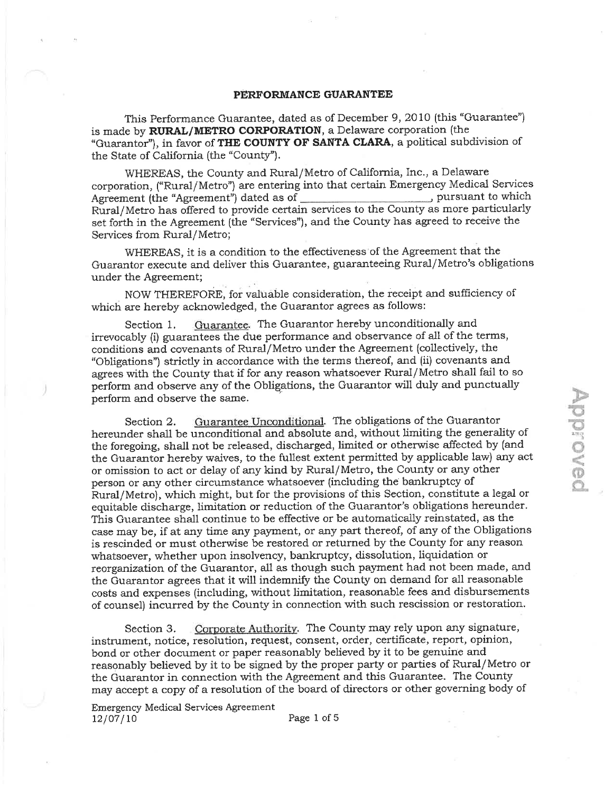## PERFORMANCE GUARANTEE

This Performance Guarantee, dated as of December 9, 2010 (this "Guarantee") is made by RURAL/METRO CORPORATION, a Delaware corporation (the "Guarantor"), in favor of THE COUNTY OF SANTA CLARA, a political subdivision of the State of California (the "County").

WHEREAS, the County and Rural/Metro of California, Inc., a Delaware corporation, ("Rura1/Metro") are entering into that certain Emergency Medical Services Agreement (the "Agreement") dated as of pursuant to which pursuant to which Rural/Metro has offered to provide certain services to the County as more particuiarly set forth in the Agreement {the "Servíces"), and the County has agreed to receive the Services from Rural/Metro;

WHEREAS, it is a condition to the effectiveness' of the Agreement that the Guarantor execute and deliver this Guarantee, guaranteeing Rural/Metro's obligations under the Agreement;

NOW THEREFORE, for valuable consideration, the receipt and sufficiency of which are hereby acknowledged, the Guarantor agrees as follows;

Section 1. Guarantee. The Guarantor hereby unconditionally and irrevocably (i) guarantees the due performance and observance of all of the terms, conditions and covenants of Rural/Metro under the Agreement (collectively, the "Obligations") strictly in accordance with the terms thereof, and {ii) covenants and agrees with the County that if for any reason whatsoever Rural/Metro shall fail to so perform and observe any of the Obligations, the Guarantor will duly and punctually perform and observe the same.

 $\triangleright$ 

 $\widetilde{\Xi}$ .\_,1  $\epsilon$ 

 $\circledcirc$ 

Section 2. Guarantee Unconditional. The obligations of the Guarantor hereunder shall be unconditional and absolute and, without limiting the generality of the foregoing, shall not be released, discharged, limited or otherwise affected by (and the Guarantor hereby waives, to the fullest extent permitted by applicable law) any act or omission to act or delay of any kind by Rural/Metro, the County or any other person or any other circumstance whatsoever (including the bankruptcy of Rural/Metro), which might, but for the provisions of this Section, constitute a legal or equitable discharge, limitation or reduction of the Guarantor's obligations hereunder. This Guarantee shall continue to be effective or be automatically reinstated, as the case may be, if at any time any payment, or any part thereof, of any of the Obligations is rescinded or must otherwise be restored or returned by the County for any reason whatsoever, whether upon insolvency, bankruptcy, dissolution, liquidation or reorganization of the Guarantor, all as though such payment had not been made, and the Guarantor agrees that it will indemnify the County on demand for ali reasonable costs and expenses (including, without limitation, reasonable fees and disbursements of counsel) incurred by the County in connection with such rescission or restoration.

Section 3. Corporate Authority. The County may rely upon any signature, instrument, notice, resolution, request, consent, order, certificate, report, opinion, bond or other document or paper reasonably believed by it to be genuine and reasonably believed by it to be signed by the proper party or parties of Rural/Metro or the Guarantor in connection with the Agreement and this Guarantee. The County may accept a copy of a resolution of the board of directors or other governing body of

Emergency Medical Services Agreement  $12/07/10$  Page 1 of 5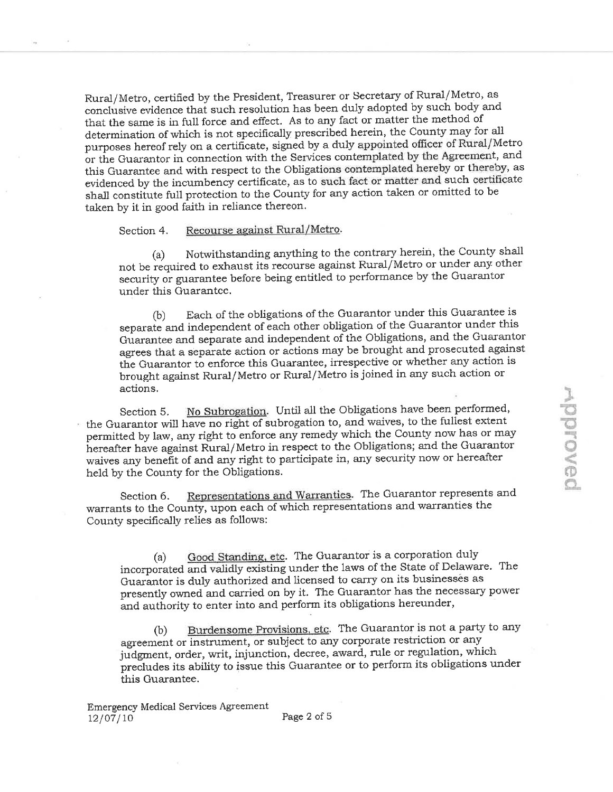Rural/Metro, certified by the President, Treasurer or Secretary of Rural/Metro, as. conclusive evidence thai such resolution has been duly adopted by such body and that the same is in full force and effect. As to any fact or matter the method of determination of which is not specifically prescribed herein, the County may for ali purposes hereof rely on a certificate, signed by a duly appointed officer of Rural/Metro or the Guarantor in connection with the Services contemplated by the Agreement, and this Guarantee and with respect to the Obligations contemplated hereby or thereby, as evidenced by the incumbency certificate, as to such fact or matter and such certificate shatl constiiute full protection to the County for any action taken or omitted to be taken by it in good faith in reliance thereon.

## Section 4. Recourse against Rural/Metro.

(a) Notwithstanding anything to the contrary herein, the County shall not be required to exhaust its recourse against Rural/Metro or under any other security or guarantee before being entitled to performance by the Guarantor under this Guarantee.

(b) Each of the obligations of the Guarantor under this Guarantee is separate and independent of each other obligation of the Guarantor under this Guarantee and seþarate and independent of the Obligations, and the Guarantor agrees that a separate action or actions may be brought and prosecuted against the Guarantor to enforce this Guarantee, irrespective or whether any action is brought against Rural/Metro or Rural/Metro is joined in any such action or actions.

Section 5. No Subrogation. Until all the Obligations have been performed, the Guarantor will have no right of subrogation to, and waives, to the fullest extent permitted by law, any right to enforce any remedy which the County now has or may hereafter have against Rural/Metro in respect to the Obligations; and the Guarantor waives any beneãt of and any right to participate in, any security now or hereafter held by the County for the Obligations.

Section 6. Representations and Warranties. The Guarantor represents and warrants to the County, upon each of which representations and warranties the County specifically relies as follows:

(a) Good Standing, etc. The Guarantor is a corporation duly incorporated and validly existing under the laws of the State of Delaware. The Guaräntor is duly authorized and licensed to carry on its businessês as presently owned and carried on by it. The Guarantor has the necessary power ãnd authority to enter into and perform its obligations hereunder,

(b) Burdensome Provisions, etc. The Guarantor is not a party to any agreement or instrument, or subject to any corporate restriction or any judgment, order, writ, injunction, decree, award, rule or regulation, which precludes its ability to issue this Guarantee or to perform its obligations under this Guarantee.

Emergency Medical Services Agreement  $12/07/10$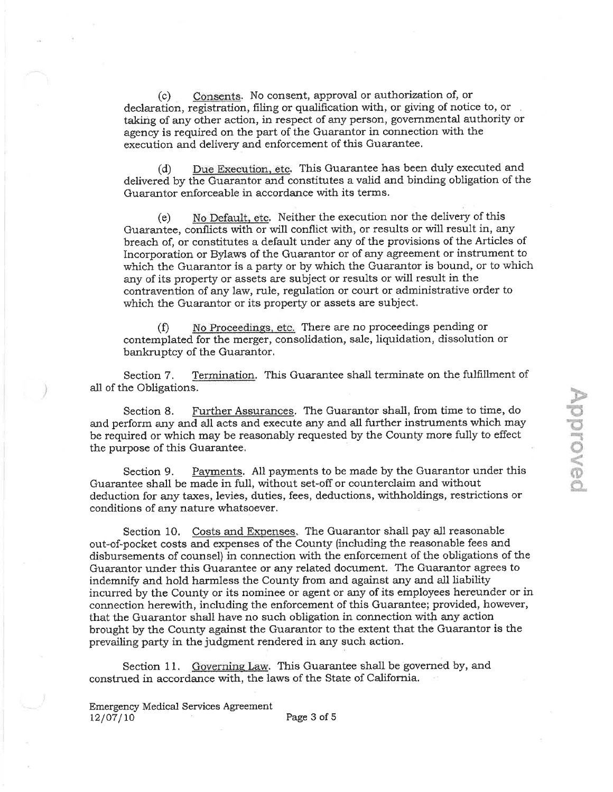Consents. No consent, approval or authorization of, or  $(c)$ declaration, registration, filing or qualification with, or giving of notice to, or taking of any other action, in respect of any person, governmental authority or agency is required on the part of the Guarantor in connection with the execution and delivery and enforcement of this Guarantee.

Due Execution, etc. This Guarantee has been duly executed and  $(d)$ delivered by the Guarantor and constitutes a valid and binding obligation of the Guarantor enforceable in accordance with its terms.

No Default, etc. Neither the execution nor the delivery of this  $(e)$ Guarantee, conflicts with or will conflict with, or results or will result in, any breach of, or constitutes a default under any of the provisions of the Articles of Incorporation or Bylaws of the Guarantor or of any agreement or instrument to which the Guarantor is a party or by which the Guarantor is bound, or to which any of its property or assets are subject or results or will result in the contravention of any law, rule, regulation or court or administrative order to which the Guarantor or its property or assets are subject.

No Proceedings, etc. There are no proceedings pending or  $(f)$ contemplated for the merger, consolidation, sale, liquidation, dissolution or bankruptcy of the Guarantor.

Section 7. Termination. This Guarantee shall terminate on the fulfillment of all of the Obligations.

Further Assurances. The Guarantor shall, from time to time, do Section 8. and perform any and all acts and execute any and all further instruments which may be required or which may be reasonably requested by the County more fully to effect the purpose of this Guarantee.

Payments. All payments to be made by the Guarantor under this Section 9. Guarantee shall be made in full, without set-off or counterclaim and without deduction for any taxes, levies, duties, fees, deductions, withholdings, restrictions or conditions of any nature whatsoever.

Section 10. Costs and Expenses. The Guarantor shall pay all reasonable out-of-pocket costs and expenses of the County (including the reasonable fees and disbursements of counsel) in connection with the enforcement of the obligations of the Guarantor under this Guarantee or any related document. The Guarantor agrees to indemnify and hold harmless the County from and against any and all liability incurred by the County or its nominee or agent or any of its employees hereunder or in connection herewith, including the enforcement of this Guarantee; provided, however, that the Guarantor shall have no such obligation in connection with any action brought by the County against the Guarantor to the extent that the Guarantor is the prevailing party in the judgment rendered in any such action.

Section 11. Governing Law. This Guarantee shall be governed by, and construed in accordance with, the laws of the State of California.

**Emergency Medical Services Agreement**  $12/07/10$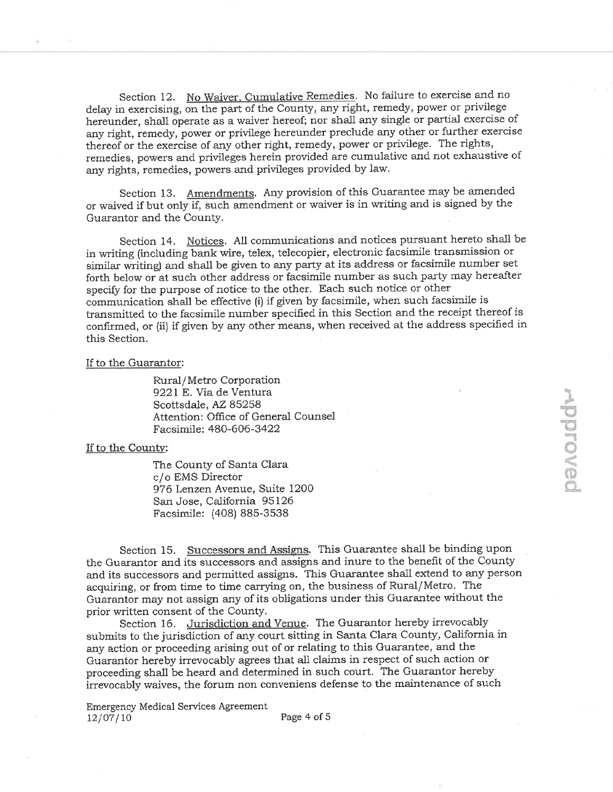Section 12. No Waiver, Cumulative Remedies. No failure to exercise and no delay in exercising, on the part of the County, any right, remedy, power or privilege hereunder, shall operate as a waiver hereof; nor shall any single or partial exercise of any right, remedy, power or privilege hereunder preclude any other or further exercise thereof or the exercise of any other right, remedy, power or privilege. The rights, remedies, powers and privileges herein provided are cumulative and not exhaustive of any rights, remedies, powers and privileges provided by law.

Section 13. Amendments. Any provision of this Guarantee may be amended or waived if but only if, such amendment or waiver is in writing and is signed by the Guarantor and the County.

Section 14. Notices. All communications and notices pursuant hereto shall be in writing (including bank wire, telex, telecopier, electronic facsimile transmission or similar writing) and shall be given to any party at its address or facsimile number set forth below or at such other address or facsimile number as such party may hereafter specify for the purpose of notice to the other. Each such notice or other communication shall be effective (i) if given by facsimile, when such facsimile is transmitted to the facsimile number specified in this Section and the receipt thereof is confirmed, or (ii) if given by any other means, when received at the address specified in this Section.

## If to the Guarantor:

Rural/Metro Corporation 9221 E. Via de Ventura Scottsdale, AZ 85258 Attention: Office of General Counsel Facsimile: 480-606-3422

## If to the County:

The County of Santa Clara c/o EMS Director 976 Lenzen Avenue, Suite 1200 San Jose, California 95126 Facsimile: (408) 885-3538

Section 15. Successors and Assigns. This Guarantee shall be binding upon the Guarantor and its successors and assigns and inure to the benefit of the County and its successors and permitted assigns. This Guarantee shall extend to any person acquiring, or from time to time carrying on, the business of Rural/Metro. The Guarantor may not assign any of its obligations under this Guarantee without the prior written consent of the County.

Section 16. Jurisdiction and Venue. The Guarantor hereby irrevocably submits to the jurisdiction of any court sitting in Santa Clara County, California in any action or proceeding arising out of or relating to this Guarantee, and the Guarantor hereby irrevocably agrees that all claims in respect of such action or proceeding shall be heard and determined in such court. The Guarantor hereby irrevocably waives, the forum non conveniens defense to the maintenance of such

**Emergency Medical Services Agreement**  $12/07/10$ 

Page 4 of 5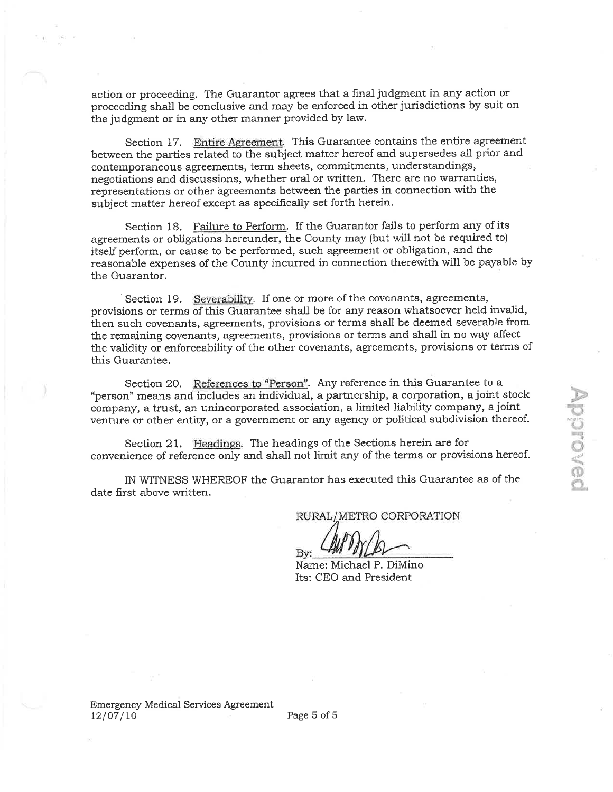action or proceeding. The Guarantor agrees that a final judgment in any action or proceeding shall be conclusive and may be enforced in other jurisdictions by suit on the judgment or ín any other manner provided by law.

Section 17. Entire Agreement. This Guarantee contains the entire agreement between the parties related to the subject matter hereof and supersedes all prior and contemporaneous agreements, term sheets, commitments, understandings, negotiations and discussions, whether oral or written. There are no warranties, representations or other agreements between the parties in connection with the subject matter hereof except as specifically set forth herein.

Section 18. Failure to Perform. If the Guarantor fails to perform any of its agreements or obligations hereunder, the County may {but will not be required to) itself perform, or cause to be performed, such agreement or obligation, and the reasonable expenses of the County incurred in connection therewith will be payable by the Guarantor.

Section 19. Severability. If one or more of the covenants, agreements, provisions or terms of this Guarantee shall be for any reason whatsoever held invalid, then such covenants, agreements, provisions or terms shall be deemed severable from the remajning covenants, agreements, provisions or terms and shall in no way affect the validity or enforceability of the other covenants, agreements, provisions or terms of this Guarantee.

Section 20. References to "Person". Any reference in this Guarantee to a "person" means and includes an individual, a partnership, a corporation, a joint stock company, a trust, an unincorporated association, a limited liability company, a joint venture or other entity, or a government or any agency or political subdivision thereof.

Section 21. Headings, The headings of the Sections herein are for oonvenience of reference only and shall not limit any of the terms or provisions hereof.

IN WITNESS WHEREOF the Guarantor has executed this Guarantee as of the date first above written.

RURAL/METRO CORPORATION

Name: Michael P, DiMino Its: CEO and President